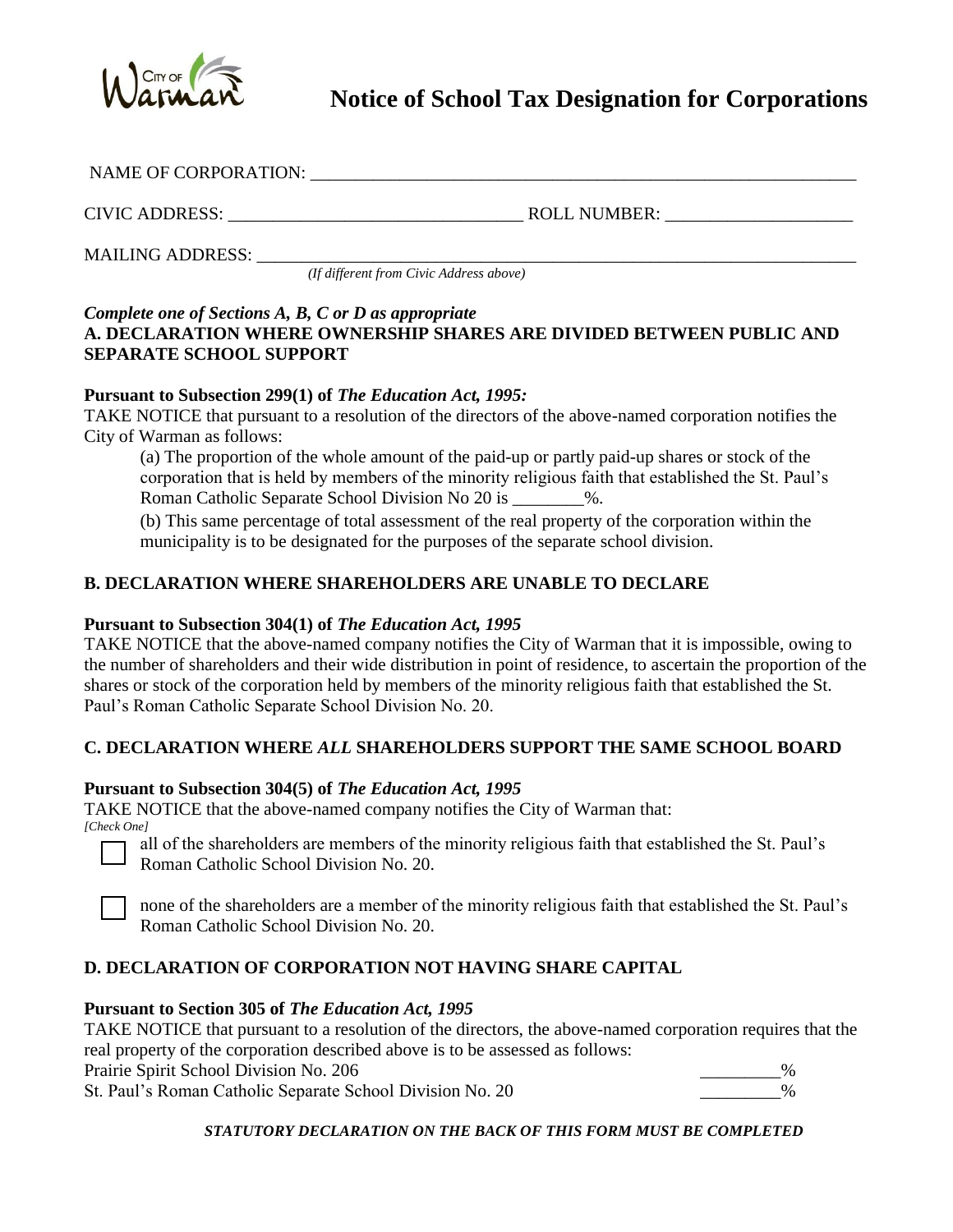

| NAME OF CORPORATION:    |              |
|-------------------------|--------------|
| CIVIC ADDRESS:          | ROLL NUMBER: |
| <b>MAILING ADDRESS:</b> |              |

*(If different from Civic Address above)* 

## *Complete one of Sections A, B, C or D as appropriate*  **A. DECLARATION WHERE OWNERSHIP SHARES ARE DIVIDED BETWEEN PUBLIC AND SEPARATE SCHOOL SUPPORT**

### **Pursuant to Subsection 299(1) of** *The Education Act, 1995:*

TAKE NOTICE that pursuant to a resolution of the directors of the above-named corporation notifies the City of Warman as follows:

(a) The proportion of the whole amount of the paid-up or partly paid-up shares or stock of the corporation that is held by members of the minority religious faith that established the St. Paul's Roman Catholic Separate School Division No 20 is \_\_\_\_\_\_\_\_%.

(b) This same percentage of total assessment of the real property of the corporation within the municipality is to be designated for the purposes of the separate school division.

# **B. DECLARATION WHERE SHAREHOLDERS ARE UNABLE TO DECLARE**

### **Pursuant to Subsection 304(1) of** *The Education Act, 1995*

TAKE NOTICE that the above-named company notifies the City of Warman that it is impossible, owing to the number of shareholders and their wide distribution in point of residence, to ascertain the proportion of the shares or stock of the corporation held by members of the minority religious faith that established the St. Paul's Roman Catholic Separate School Division No. 20.

# **C. DECLARATION WHERE** *ALL* **SHAREHOLDERS SUPPORT THE SAME SCHOOL BOARD**

### **Pursuant to Subsection 304(5) of** *The Education Act, 1995*

TAKE NOTICE that the above-named company notifies the City of Warman that: *[Check One]* 

all of the shareholders are members of the minority religious faith that established the St. Paul's Roman Catholic School Division No. 20.

none of the shareholders are a member of the minority religious faith that established the St. Paul's Roman Catholic School Division No. 20.

# **D. DECLARATION OF CORPORATION NOT HAVING SHARE CAPITAL**

### **Pursuant to Section 305 of** *The Education Act, 1995*

TAKE NOTICE that pursuant to a resolution of the directors, the above-named corporation requires that the real property of the corporation described above is to be assessed as follows:

Prairie Spirit School Division No. 206

St. Paul's Roman Catholic Separate School Division No. 20  $\%$ 

*STATUTORY DECLARATION ON THE BACK OF THIS FORM MUST BE COMPLETED*